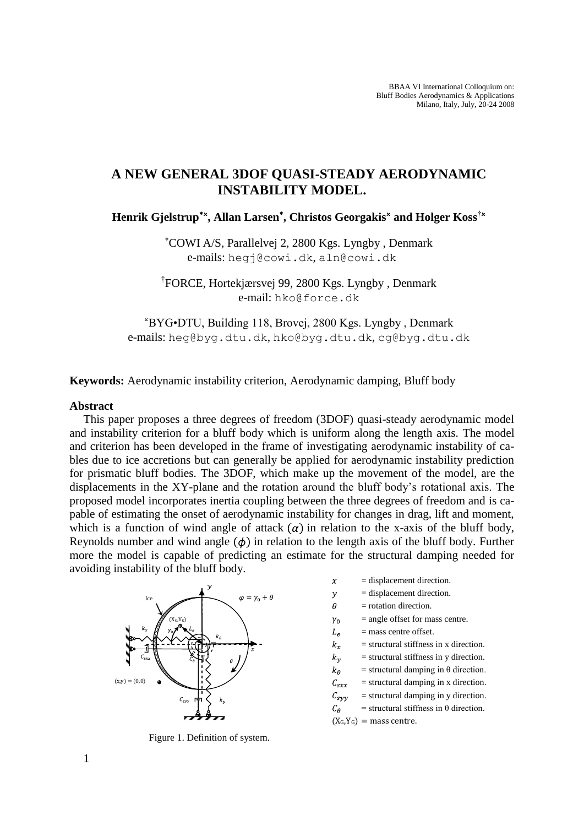# **A NEW GENERAL 3DOF QUASI-STEADY AERODYNAMIC INSTABILITY MODEL.**

**Henrik Gjelstrup , Allan Larsen , Christos Georgakis and Holger Koss†**

COWI A/S, Parallelvej 2, 2800 Kgs. Lyngby , Denmark e-mails: [hegj@cowi.dk](mailto:hegj@cowi.dk), [aln@cowi.dk](mailto:aln@cowi.dk)

† FORCE, Hortekjærsvej 99, 2800 Kgs. Lyngby , Denmark e-mail: [hko@force.dk](mailto:hko@force.dk)

BYG•DTU, Building 118, Brovej, 2800 Kgs. Lyngby , Denmark e-mails: [heg@byg.dtu.dk](mailto:heg@byg.dtu.dk), [hko@byg.dtu.dk](mailto:hko@byg.dtu.dk), [cg@byg.dtu.dk](mailto:cg@byg.dtu.dk)

**Keywords:** Aerodynamic instability criterion, Aerodynamic damping, Bluff body

## **Abstract**

This paper proposes a three degrees of freedom (3DOF) quasi-steady aerodynamic model and instability criterion for a bluff body which is uniform along the length axis. The model and criterion has been developed in the frame of investigating aerodynamic instability of cables due to ice accretions but can generally be applied for aerodynamic instability prediction for prismatic bluff bodies. The 3DOF, which make up the movement of the model, are the displacements in the XY-plane and the rotation around the bluff body's rotational axis. The proposed model incorporates inertia coupling between the three degrees of freedom and is capable of estimating the onset of aerodynamic instability for changes in drag, lift and moment, which is a function of wind angle of attack  $(\alpha)$  in relation to the x-axis of the bluff body, Reynolds number and wind angle  $(\phi)$  in relation to the length axis of the bluff body. Further more the model is capable of predicting an estimate for the structural damping needed for avoiding instability of the bluff body.



<span id="page-0-0"></span>Figure 1. Definition of system.

- = displacement direction.  $\boldsymbol{\chi}$
- $\mathcal{Y}$ = displacement direction.
- $\theta$ = rotation direction.
- $=$  angle offset for mass centre.  $\gamma_0$
- $L_e$  $=$  mass centre offset.
- $k_{\rm r}$ = structural stiffness in x direction.
- $k_v$ = structural stiffness in y direction.
- $=$  structural damping in  $\theta$  direction.  $k_\theta$
- $=$  structural damping in x direction.  $C_{sxx}$
- $=$  structural damping in y direction.  $C_{svv}$
- $=$  structural stiffness in  $\theta$  direction.  $\mathcal{C}_{\boldsymbol{\theta}}$
- $(X_G,Y_G)$  = mass centre.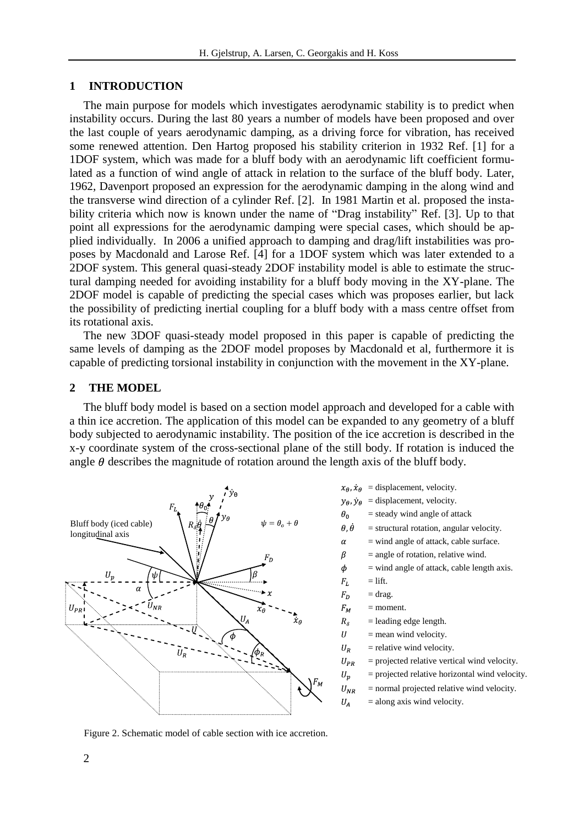## **1 INTRODUCTION**

The main purpose for models which investigates aerodynamic stability is to predict when instability occurs. During the last 80 years a number of models have been proposed and over the last couple of years aerodynamic damping, as a driving force for vibration, has received some renewed attention. Den Hartog proposed his stability criterion in 1932 Ref. [1] for a 1DOF system, which was made for a bluff body with an aerodynamic lift coefficient formulated as a function of wind angle of attack in relation to the surface of the bluff body. Later, 1962, Davenport proposed an expression for the aerodynamic damping in the along wind and the transverse wind direction of a cylinder Ref. [2]. In 1981 Martin et al. proposed the instability criteria which now is known under the name of "Drag instability" Ref. [3]. Up to that point all expressions for the aerodynamic damping were special cases, which should be applied individually. In 2006 a unified approach to damping and drag/lift instabilities was proposes by Macdonald and Larose Ref. [4] for a 1DOF system which was later extended to a 2DOF system. This general quasi-steady 2DOF instability model is able to estimate the structural damping needed for avoiding instability for a bluff body moving in the XY-plane. The 2DOF model is capable of predicting the special cases which was proposes earlier, but lack the possibility of predicting inertial coupling for a bluff body with a mass centre offset from its rotational axis.

The new 3DOF quasi-steady model proposed in this paper is capable of predicting the same levels of damping as the 2DOF model proposes by Macdonald et al, furthermore it is capable of predicting torsional instability in conjunction with the movement in the XY-plane.

## **2 THE MODEL**

The bluff body model is based on a section model approach and developed for a cable with a thin ice accretion. The application of this model can be expanded to any geometry of a bluff body subjected to aerodynamic instability. The position of the ice accretion is described in the x-y coordinate system of the cross-sectional plane of the still body. If rotation is induced the angle  $\theta$  describes the magnitude of rotation around the length axis of the bluff body.



- $x_{\theta}$ ,  $\dot{x}_{\theta}$  = displacement, velocity.
- $y_{\theta}$ ,  $\dot{y}_{\theta}$  = displacement, velocity.
- $\theta_0$ = steady wind angle of attack
- $\theta, \dot{\theta}$ = structural rotation, angular velocity.
	- = wind angle of attack, cable surface.
	- $=$  angle of rotation, relative wind.
- $\phi$  $=$  wind angle of attack, cable length axis.
- $=$  lift.  ${\cal F}_L$

 $\alpha$  $\beta$ 

 $U_A$ 

- $=$  drag.  $F_D$
- $F_M$ = moment.
- $R_{\delta}$  $=$  leading edge length.
- $U$  $=$  mean wind velocity.
- $U_R$ = relative wind velocity.
- $U_{PR}$ = projected relative vertical wind velocity.
- = projected relative horizontal wind velocity.  $U_p$
- ${\cal U}_{NR}$ = normal projected relative wind velocity.
	- = along axis wind velocity.

<span id="page-1-0"></span>Figure 2. Schematic model of cable section with ice accretion.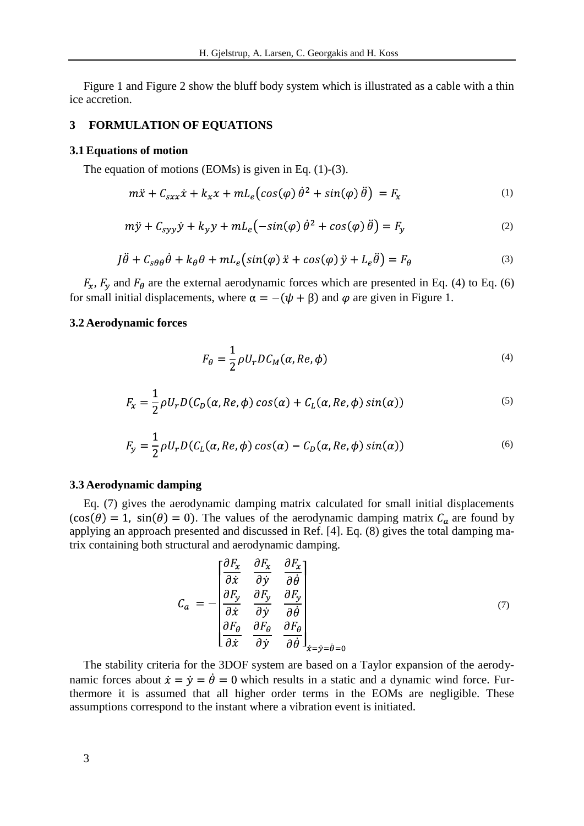[Figure 1](#page-0-0) and [Figure 2](#page-1-0) show the bluff body system which is illustrated as a cable with a thin ice accretion.

## **3 FORMULATION OF EQUATIONS**

#### **3.1 Equations of motion**

The equation of motions (EOMs) is given in Eq. [\(1\)-](#page-2-0)[\(3\).](#page-2-1)

$$
m\ddot{x} + C_{sxx}\dot{x} + k_x x + mL_e\big(\cos(\varphi)\dot{\theta}^2 + \sin(\varphi)\ddot{\theta}\big) = F_x \tag{1}
$$

$$
m\ddot{y} + C_{syy}\dot{y} + k_y y + mL_e(-\sin(\varphi)\dot{\theta}^2 + \cos(\varphi)\ddot{\theta}) = F_y \tag{2}
$$

$$
J\ddot{\theta} + C_{s\theta\theta}\dot{\theta} + k_{\theta}\theta + mL_e\left(\sin(\varphi)\ddot{x} + \cos(\varphi)\ddot{y} + L_e\ddot{\theta}\right) = F_{\theta}
$$
\n(3)

 $F_x$ ,  $F_y$  and  $F_\theta$  are the external aerodynamic forces which are presented in Eq. [\(4\)](#page-2-2) to Eq. [\(6\)](#page-2-3) for small initial displacements, where  $\alpha = -(\psi + \beta)$  and  $\varphi$  are given in [Figure 1.](#page-0-0)

## **3.2 Aerodynamic forces**

<span id="page-2-3"></span><span id="page-2-2"></span><span id="page-2-1"></span><span id="page-2-0"></span>
$$
F_{\theta} = \frac{1}{2} \rho U_r D C_M(\alpha, Re, \phi)
$$
\n<sup>(4)</sup>

$$
F_x = \frac{1}{2} \rho U_r D(C_D(\alpha, Re, \phi) \cos(\alpha) + C_L(\alpha, Re, \phi) \sin(\alpha))
$$
\n(5)

$$
F_y = \frac{1}{2} \rho U_r D(C_L(\alpha, Re, \phi) \cos(\alpha) - C_D(\alpha, Re, \phi) \sin(\alpha))
$$
\n(6)

#### **3.3 Aerodynamic damping**

Eq. [\(7\)](#page-2-4) gives the aerodynamic damping matrix calculated for small initial displacements  $(cos(\theta) = 1, sin(\theta) = 0)$ . The values of the aerodynamic damping matrix  $C_a$  are found by applying an approach presented and discussed in Ref. [4]. Eq. [\(8\)](#page-3-0) gives the total damping matrix containing both structural and aerodynamic damping.

<span id="page-2-4"></span>
$$
C_a = -\begin{bmatrix} \frac{\partial F_x}{\partial \dot{x}} & \frac{\partial F_x}{\partial \dot{y}} & \frac{\partial F_x}{\partial \dot{\theta}} \\ \frac{\partial F_y}{\partial \dot{x}} & \frac{\partial F_y}{\partial \dot{y}} & \frac{\partial F_y}{\partial \dot{\theta}} \\ \frac{\partial F_\theta}{\partial \dot{x}} & \frac{\partial F_\theta}{\partial \dot{y}} & \frac{\partial F_\theta}{\partial \dot{\theta}} \end{bmatrix}_{\dot{x} = \dot{y} = \dot{\theta} = 0}
$$
(7)

The stability criteria for the 3DOF system are based on a Taylor expansion of the aerodynamic forces about  $\dot{x} = \dot{y} = \dot{\theta} = 0$  which results in a static and a dynamic wind force. Furthermore it is assumed that all higher order terms in the EOMs are negligible. These assumptions correspond to the instant where a vibration event is initiated.